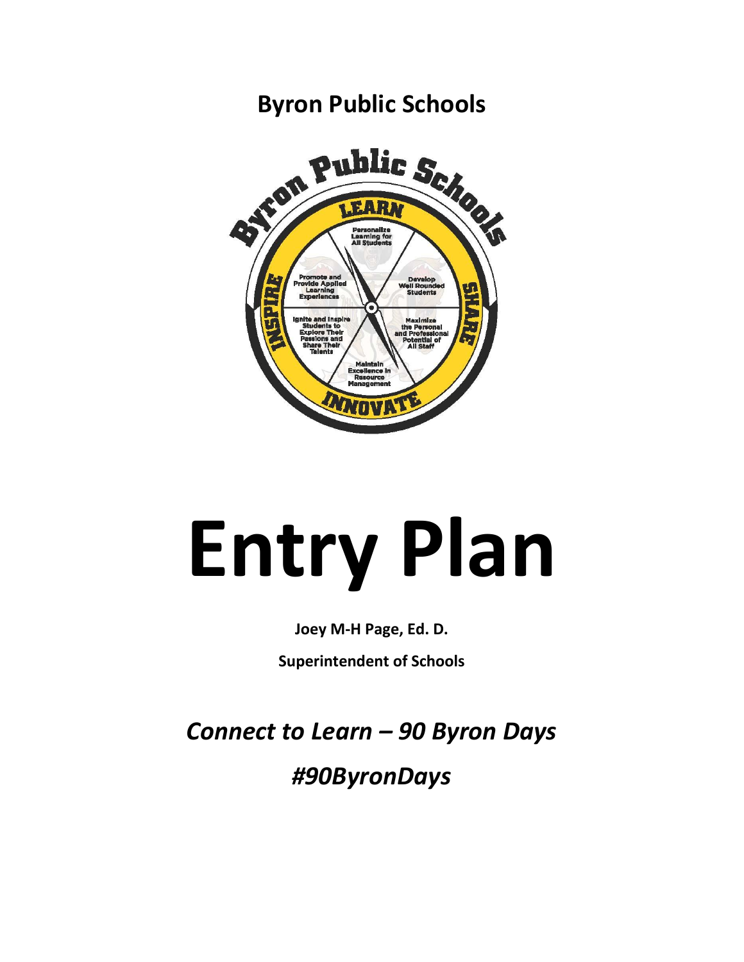## ron Public Seize Personalize<br>Learning for<br>All Students **Promote and<br>Invide Appli<br>Experiences**

**Byron Public Schools**

# **Entry Plan**

## **Joey M-H Page, Ed. D.**

**Superintendent of Schools** 

*Connect to Learn – 90 Byron Days*

*#90ByronDays*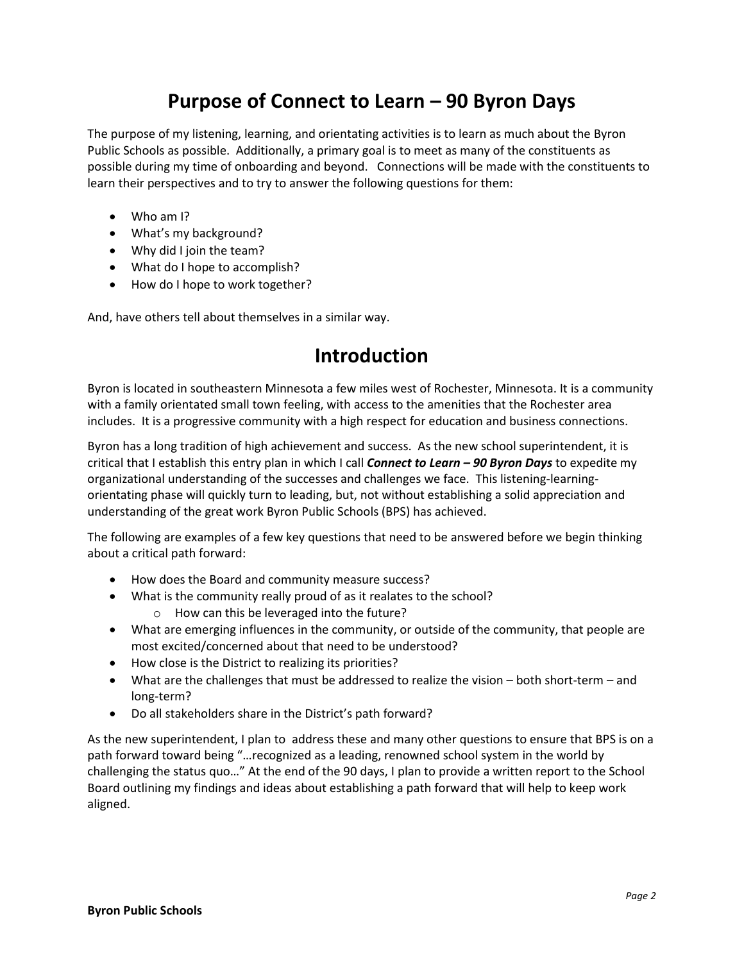## **Purpose of Connect to Learn – 90 Byron Days**

The purpose of my listening, learning, and orientating activities is to learn as much about the Byron Public Schools as possible. Additionally, a primary goal is to meet as many of the constituents as possible during my time of onboarding and beyond. Connections will be made with the constituents to learn their perspectives and to try to answer the following questions for them:

- Who am I?
- What's my background?
- Why did I join the team?
- What do I hope to accomplish?
- How do I hope to work together?

And, have others tell about themselves in a similar way.

## **Introduction**

Byron is located in southeastern Minnesota a few miles west of Rochester, Minnesota. It is a community with a family orientated small town feeling, with access to the amenities that the Rochester area includes. It is a progressive community with a high respect for education and business connections.

Byron has a long tradition of high achievement and success. As the new school superintendent, it is critical that I establish this entry plan in which I call *Connect to Learn – 90 Byron Days* to expedite my organizational understanding of the successes and challenges we face. This listening-learningorientating phase will quickly turn to leading, but, not without establishing a solid appreciation and understanding of the great work Byron Public Schools (BPS) has achieved.

The following are examples of a few key questions that need to be answered before we begin thinking about a critical path forward:

- How does the Board and community measure success?
- What is the community really proud of as it realates to the school? o How can this be leveraged into the future?
- What are emerging influences in the community, or outside of the community, that people are most excited/concerned about that need to be understood?
- How close is the District to realizing its priorities?
- What are the challenges that must be addressed to realize the vision both short-term and long-term?
- Do all stakeholders share in the District's path forward?

As the new superintendent, I plan to address these and many other questions to ensure that BPS is on a path forward toward being "…recognized as a leading, renowned school system in the world by challenging the status quo…" At the end of the 90 days, I plan to provide a written report to the School Board outlining my findings and ideas about establishing a path forward that will help to keep work aligned.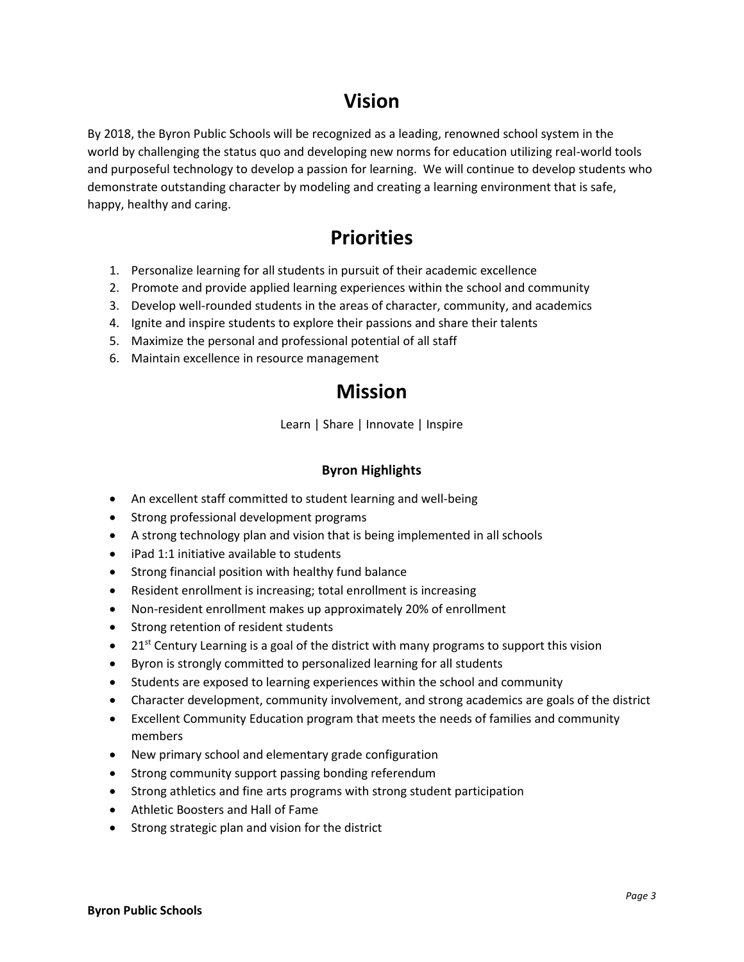## **Vision**

By 2018, the Byron Public Schools will be recognized as a leading, renowned school system in the world by challenging the status quo and developing new norms for education utilizing real-world tools and purposeful technology to develop a passion for learning. We will continue to develop students who demonstrate outstanding character by modeling and creating a learning environment that is safe, happy, healthy and caring.

## **Priorities**

- 1. Personalize learning for all students in pursuit of their academic excellence
- 2. Promote and provide applied learning experiences within the school and community
- 3. Develop well-rounded students in the areas of character, community, and academics
- 4. Ignite and inspire students to explore their passions and share their talents
- 5. Maximize the personal and professional potential of all staff
- 6. Maintain excellence in resource management

## **Mission**

Learn | Share | Innovate | Inspire

#### **Byron Highlights**

- An excellent staff committed to student learning and well-being
- Strong professional development programs
- A strong technology plan and vision that is being implemented in all schools
- iPad 1:1 initiative available to students
- Strong financial position with healthy fund balance
- Resident enrollment is increasing; total enrollment is increasing
- Non-resident enrollment makes up approximately 20% of enrollment
- Strong retention of resident students
- 21<sup>st</sup> Century Learning is a goal of the district with many programs to support this vision
- Byron is strongly committed to personalized learning for all students
- Students are exposed to learning experiences within the school and community
- Character development, community involvement, and strong academics are goals of the district
- Excellent Community Education program that meets the needs of families and community members
- New primary school and elementary grade configuration
- Strong community support passing bonding referendum
- Strong athletics and fine arts programs with strong student participation
- Athletic Boosters and Hall of Fame
- Strong strategic plan and vision for the district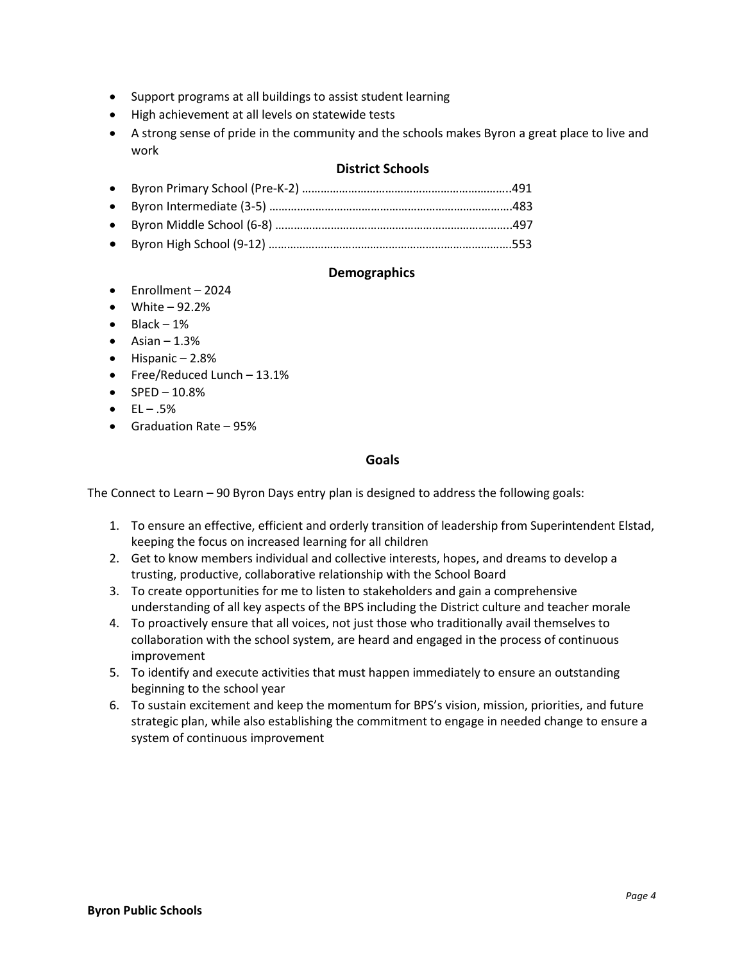- Support programs at all buildings to assist student learning
- High achievement at all levels on statewide tests
- A strong sense of pride in the community and the schools makes Byron a great place to live and work

#### **District Schools**

#### **Demographics**

- Enrollment 2024
- $\bullet$  White 92.2%
- $\bullet$  Black 1%
- $\bullet$  Asian 1.3%
- $\bullet$  Hispanic 2.8%
- Free/Reduced Lunch 13.1%
- $\bullet$  SPED 10.8%
- $\bullet$  EL .5%
- Graduation Rate 95%

#### **Goals**

The Connect to Learn – 90 Byron Days entry plan is designed to address the following goals:

- 1. To ensure an effective, efficient and orderly transition of leadership from Superintendent Elstad, keeping the focus on increased learning for all children
- 2. Get to know members individual and collective interests, hopes, and dreams to develop a trusting, productive, collaborative relationship with the School Board
- 3. To create opportunities for me to listen to stakeholders and gain a comprehensive understanding of all key aspects of the BPS including the District culture and teacher morale
- 4. To proactively ensure that all voices, not just those who traditionally avail themselves to collaboration with the school system, are heard and engaged in the process of continuous improvement
- 5. To identify and execute activities that must happen immediately to ensure an outstanding beginning to the school year
- 6. To sustain excitement and keep the momentum for BPS's vision, mission, priorities, and future strategic plan, while also establishing the commitment to engage in needed change to ensure a system of continuous improvement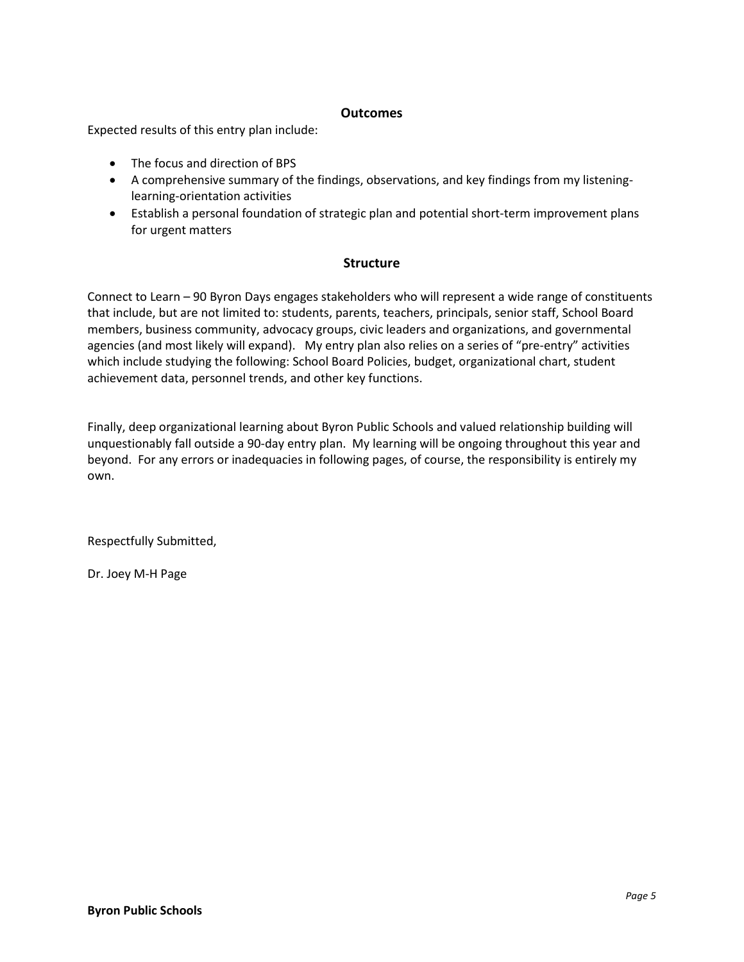#### **Outcomes**

Expected results of this entry plan include:

- The focus and direction of BPS
- A comprehensive summary of the findings, observations, and key findings from my listeninglearning-orientation activities
- Establish a personal foundation of strategic plan and potential short-term improvement plans for urgent matters

#### **Structure**

Connect to Learn – 90 Byron Days engages stakeholders who will represent a wide range of constituents that include, but are not limited to: students, parents, teachers, principals, senior staff, School Board members, business community, advocacy groups, civic leaders and organizations, and governmental agencies (and most likely will expand). My entry plan also relies on a series of "pre-entry" activities which include studying the following: School Board Policies, budget, organizational chart, student achievement data, personnel trends, and other key functions.

Finally, deep organizational learning about Byron Public Schools and valued relationship building will unquestionably fall outside a 90-day entry plan. My learning will be ongoing throughout this year and beyond. For any errors or inadequacies in following pages, of course, the responsibility is entirely my own.

Respectfully Submitted,

Dr. Joey M-H Page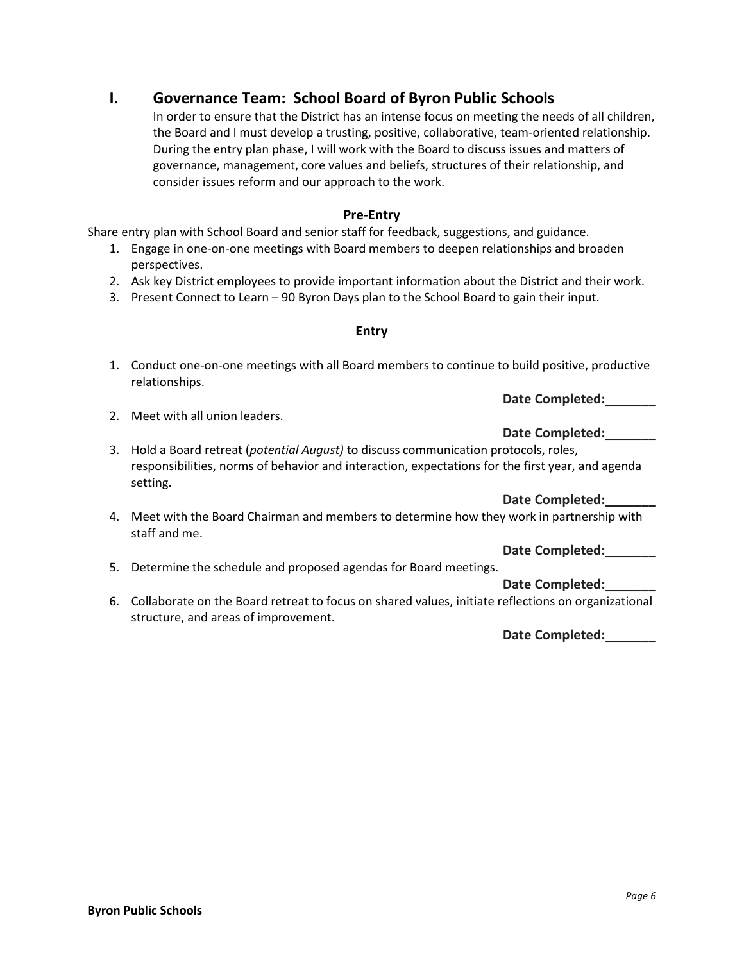### **I. Governance Team: School Board of Byron Public Schools**

In order to ensure that the District has an intense focus on meeting the needs of all children, the Board and I must develop a trusting, positive, collaborative, team-oriented relationship. During the entry plan phase, I will work with the Board to discuss issues and matters of governance, management, core values and beliefs, structures of their relationship, and consider issues reform and our approach to the work.

#### **Pre-Entry**

Share entry plan with School Board and senior staff for feedback, suggestions, and guidance.

- 1. Engage in one-on-one meetings with Board members to deepen relationships and broaden perspectives.
- 2. Ask key District employees to provide important information about the District and their work.
- 3. Present Connect to Learn 90 Byron Days plan to the School Board to gain their input.

#### **Entry**

1. Conduct one-on-one meetings with all Board members to continue to build positive, productive relationships.

**Date Completed:\_\_\_\_\_\_\_**

- 2. Meet with all union leaders.
- **Date Completed:\_\_\_\_\_\_\_** 3. Hold a Board retreat (*potential August)* to discuss communication protocols, roles, responsibilities, norms of behavior and interaction, expectations for the first year, and agenda setting.

#### **Date Completed:\_\_\_\_\_\_\_**

4. Meet with the Board Chairman and members to determine how they work in partnership with staff and me.

### **Date Completed:\_\_\_\_\_\_\_**

5. Determine the schedule and proposed agendas for Board meetings.

#### **Date Completed:\_\_\_\_\_\_\_**

6. Collaborate on the Board retreat to focus on shared values, initiate reflections on organizational structure, and areas of improvement.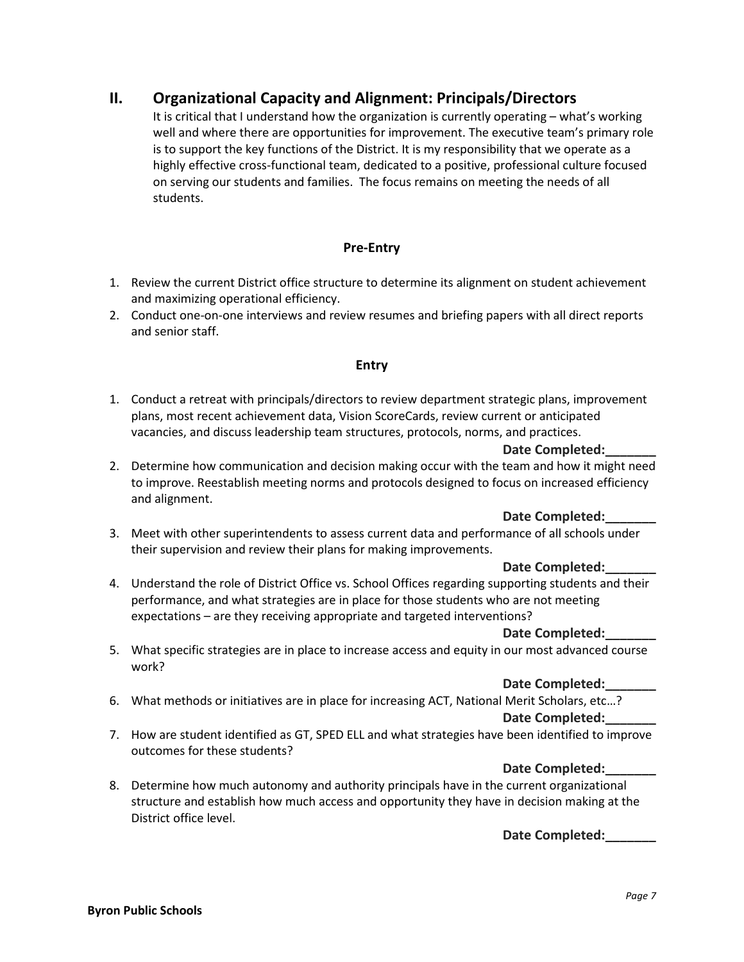#### **II. Organizational Capacity and Alignment: Principals/Directors**

It is critical that I understand how the organization is currently operating – what's working well and where there are opportunities for improvement. The executive team's primary role is to support the key functions of the District. It is my responsibility that we operate as a highly effective cross-functional team, dedicated to a positive, professional culture focused on serving our students and families. The focus remains on meeting the needs of all students.

#### **Pre-Entry**

- 1. Review the current District office structure to determine its alignment on student achievement and maximizing operational efficiency.
- 2. Conduct one-on-one interviews and review resumes and briefing papers with all direct reports and senior staff.

#### **Entry**

1. Conduct a retreat with principals/directors to review department strategic plans, improvement plans, most recent achievement data, Vision ScoreCards, review current or anticipated vacancies, and discuss leadership team structures, protocols, norms, and practices.

#### **Date Completed:\_\_\_\_\_\_\_**

2. Determine how communication and decision making occur with the team and how it might need to improve. Reestablish meeting norms and protocols designed to focus on increased efficiency and alignment.

#### **Date Completed:\_\_\_\_\_\_\_**

3. Meet with other superintendents to assess current data and performance of all schools under their supervision and review their plans for making improvements.

#### **Date Completed:\_\_\_\_\_\_\_**

4. Understand the role of District Office vs. School Offices regarding supporting students and their performance, and what strategies are in place for those students who are not meeting expectations – are they receiving appropriate and targeted interventions?

#### **Date Completed:\_\_\_\_\_\_\_**

5. What specific strategies are in place to increase access and equity in our most advanced course work?

#### **Date Completed:\_\_\_\_\_\_\_**

- 6. What methods or initiatives are in place for increasing ACT, National Merit Scholars, etc…? **Date Completed:\_\_\_\_\_\_\_**
- 7. How are student identified as GT, SPED ELL and what strategies have been identified to improve outcomes for these students?

#### **Date Completed:\_\_\_\_\_\_\_**

8. Determine how much autonomy and authority principals have in the current organizational structure and establish how much access and opportunity they have in decision making at the District office level.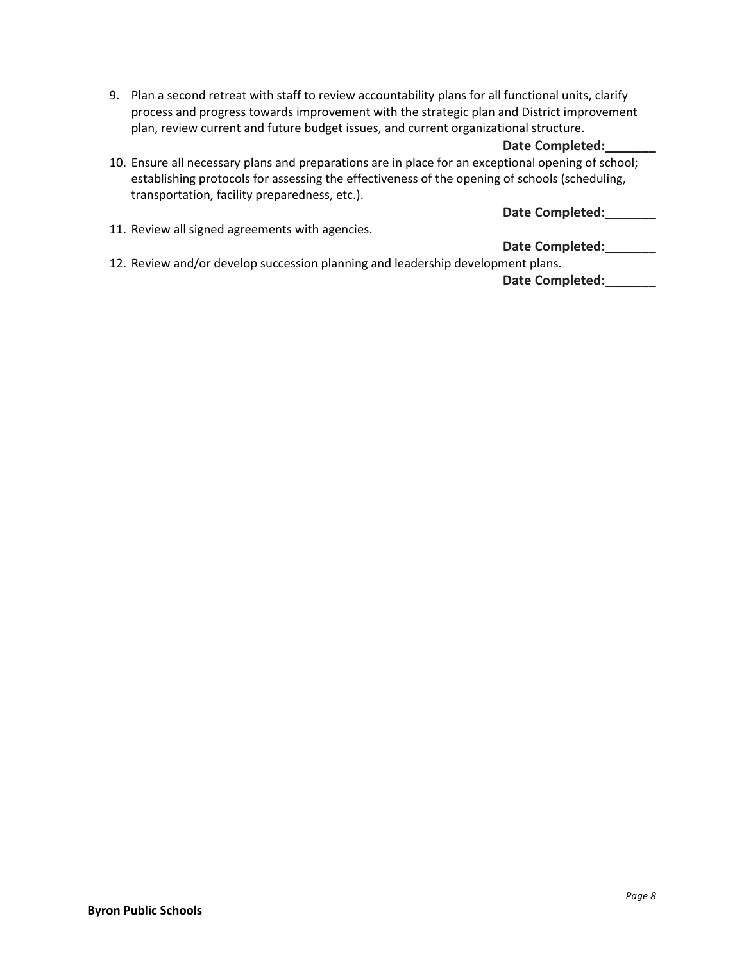9. Plan a second retreat with staff to review accountability plans for all functional units, clarify process and progress towards improvement with the strategic plan and District improvement plan, review current and future budget issues, and current organizational structure.

#### **Date Completed:\_\_\_\_\_\_\_**

10. Ensure all necessary plans and preparations are in place for an exceptional opening of school; establishing protocols for assessing the effectiveness of the opening of schools (scheduling, transportation, facility preparedness, etc.).

**Date Completed:\_\_\_\_\_\_\_**

11. Review all signed agreements with agencies.

#### **Date Completed:\_\_\_\_\_\_\_**

12. Review and/or develop succession planning and leadership development plans.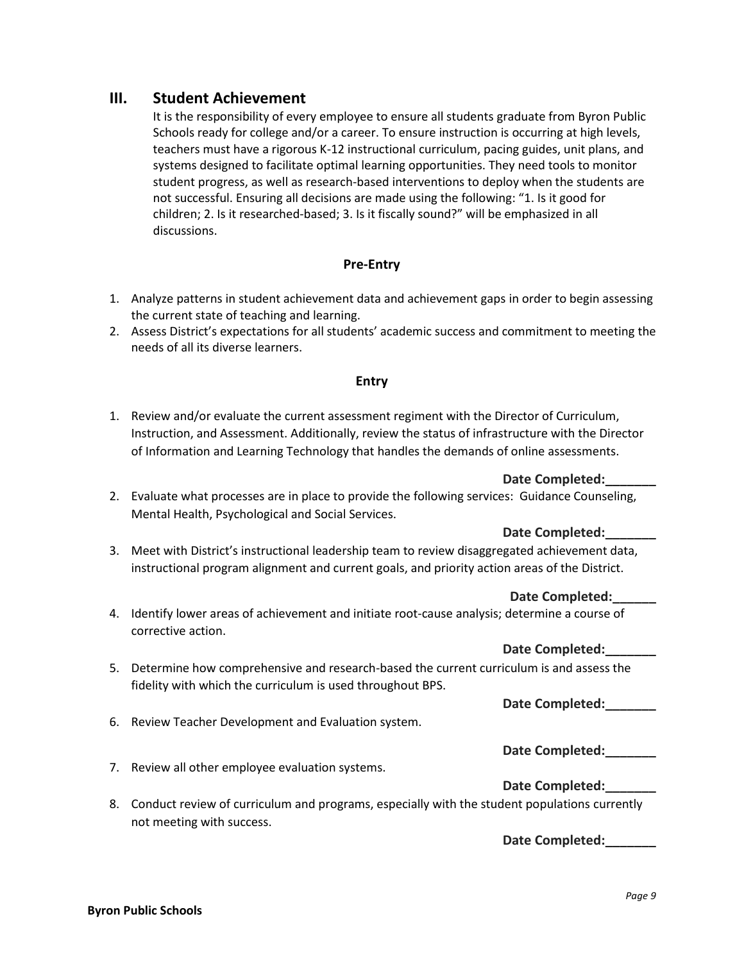#### **III. Student Achievement**

It is the responsibility of every employee to ensure all students graduate from Byron Public Schools ready for college and/or a career. To ensure instruction is occurring at high levels, teachers must have a rigorous K-12 instructional curriculum, pacing guides, unit plans, and systems designed to facilitate optimal learning opportunities. They need tools to monitor student progress, as well as research-based interventions to deploy when the students are not successful. Ensuring all decisions are made using the following: "1. Is it good for children; 2. Is it researched-based; 3. Is it fiscally sound?" will be emphasized in all discussions.

#### **Pre-Entry**

- 1. Analyze patterns in student achievement data and achievement gaps in order to begin assessing the current state of teaching and learning.
- 2. Assess District's expectations for all students' academic success and commitment to meeting the needs of all its diverse learners.

#### **Entry**

1. Review and/or evaluate the current assessment regiment with the Director of Curriculum, Instruction, and Assessment. Additionally, review the status of infrastructure with the Director of Information and Learning Technology that handles the demands of online assessments.

#### **Date Completed:\_\_\_\_\_\_\_**

2. Evaluate what processes are in place to provide the following services: Guidance Counseling, Mental Health, Psychological and Social Services.

#### **Date Completed:\_\_\_\_\_\_\_**

3. Meet with District's instructional leadership team to review disaggregated achievement data, instructional program alignment and current goals, and priority action areas of the District.

#### **Date Completed:\_\_\_\_\_\_**

4. Identify lower areas of achievement and initiate root-cause analysis; determine a course of corrective action.

#### **Date Completed:\_\_\_\_\_\_\_**

5. Determine how comprehensive and research-based the current curriculum is and assess the fidelity with which the curriculum is used throughout BPS.

**Date Completed:\_\_\_\_\_\_\_**

6. Review Teacher Development and Evaluation system.

#### **Date Completed:\_\_\_\_\_\_\_**

7. Review all other employee evaluation systems.

#### **Date Completed:\_\_\_\_\_\_\_**

8. Conduct review of curriculum and programs, especially with the student populations currently not meeting with success.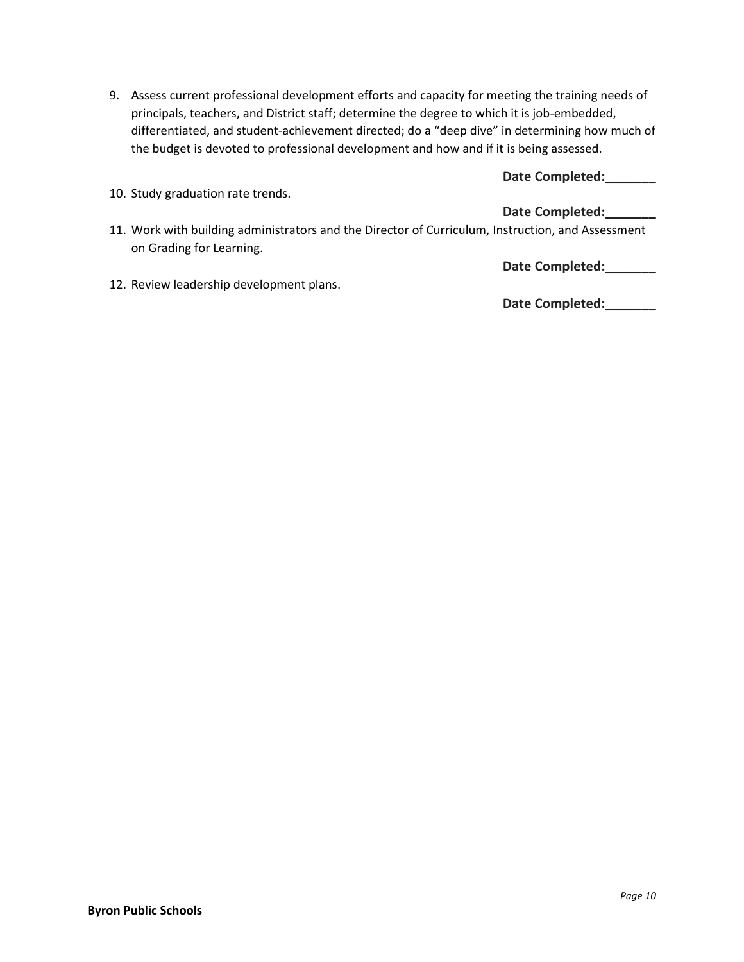9. Assess current professional development efforts and capacity for meeting the training needs of principals, teachers, and District staff; determine the degree to which it is job-embedded, differentiated, and student-achievement directed; do a "deep dive" in determining how much of the budget is devoted to professional development and how and if it is being assessed.

|  | Date Completed: |  |  |
|--|-----------------|--|--|
|--|-----------------|--|--|

|  |  | 10. Study graduation rate trends. |  |  |
|--|--|-----------------------------------|--|--|
|--|--|-----------------------------------|--|--|

#### **Date Completed:\_\_\_\_\_\_\_**

11. Work with building administrators and the Director of Curriculum, Instruction, and Assessment on Grading for Learning.

**Date Completed:\_\_\_\_\_\_\_**

12. Review leadership development plans.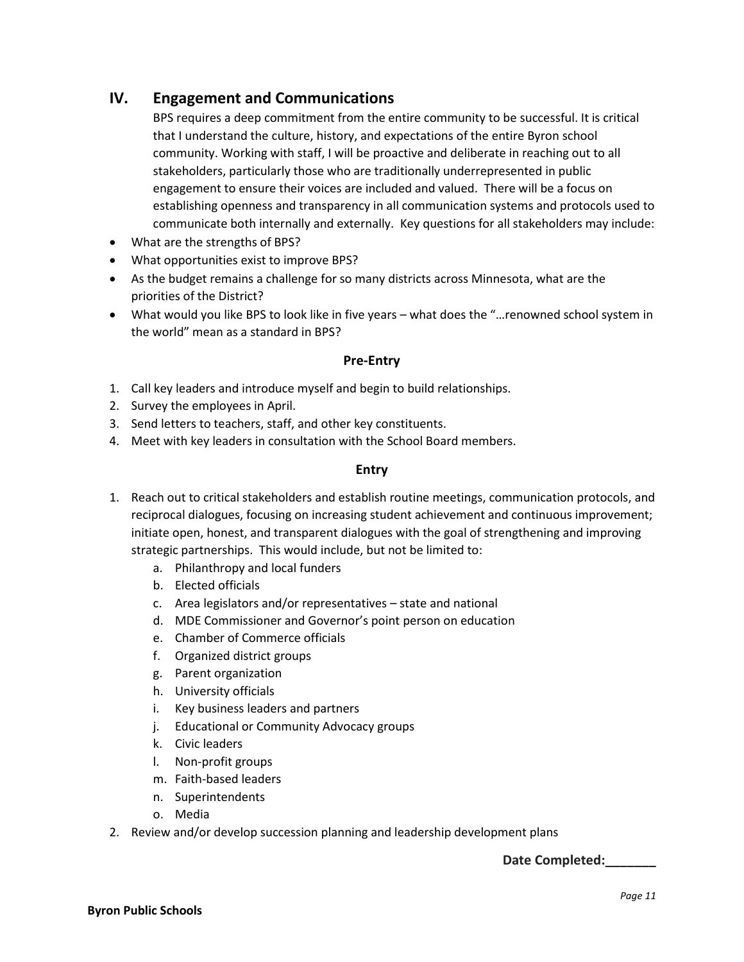#### **IV. Engagement and Communications**

BPS requires a deep commitment from the entire community to be successful. It is critical that I understand the culture, history, and expectations of the entire Byron school community. Working with staff, I will be proactive and deliberate in reaching out to all stakeholders, particularly those who are traditionally underrepresented in public engagement to ensure their voices are included and valued. There will be a focus on establishing openness and transparency in all communication systems and protocols used to communicate both internally and externally. Key questions for all stakeholders may include:

- What are the strengths of BPS?
- What opportunities exist to improve BPS?
- As the budget remains a challenge for so many districts across Minnesota, what are the priorities of the District?
- What would you like BPS to look like in five years what does the "…renowned school system in the world" mean as a standard in BPS?

#### **Pre-Entry**

- 1. Call key leaders and introduce myself and begin to build relationships.
- 2. Survey the employees in April.
- 3. Send letters to teachers, staff, and other key constituents.
- 4. Meet with key leaders in consultation with the School Board members.

#### **Entry**

- 1. Reach out to critical stakeholders and establish routine meetings, communication protocols, and reciprocal dialogues, focusing on increasing student achievement and continuous improvement; initiate open, honest, and transparent dialogues with the goal of strengthening and improving strategic partnerships. This would include, but not be limited to:
	- a. Philanthropy and local funders
	- b. Elected officials
	- c. Area legislators and/or representatives state and national
	- d. MDE Commissioner and Governor's point person on education
	- e. Chamber of Commerce officials
	- f. Organized district groups
	- g. Parent organization
	- h. University officials
	- i. Key business leaders and partners
	- j. Educational or Community Advocacy groups
	- k. Civic leaders
	- l. Non-profit groups
	- m. Faith-based leaders
	- n. Superintendents
	- o. Media
- 2. Review and/or develop succession planning and leadership development plans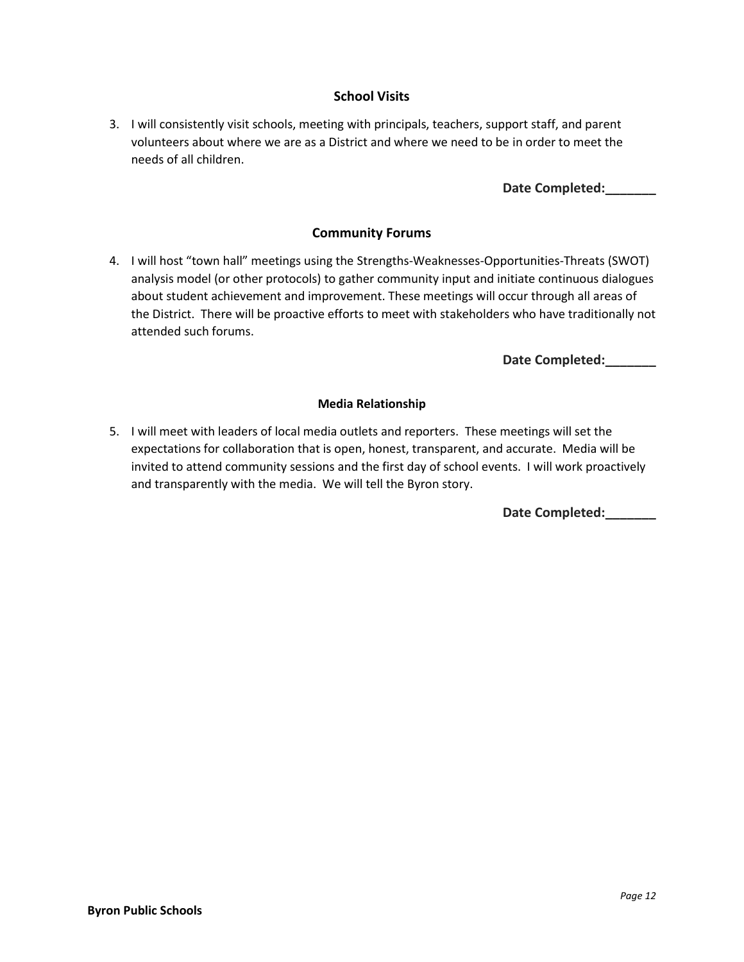#### **School Visits**

3. I will consistently visit schools, meeting with principals, teachers, support staff, and parent volunteers about where we are as a District and where we need to be in order to meet the needs of all children.

#### **Date Completed:\_\_\_\_\_\_\_**

#### **Community Forums**

4. I will host "town hall" meetings using the Strengths-Weaknesses-Opportunities-Threats (SWOT) analysis model (or other protocols) to gather community input and initiate continuous dialogues about student achievement and improvement. These meetings will occur through all areas of the District. There will be proactive efforts to meet with stakeholders who have traditionally not attended such forums.

#### **Date Completed:\_\_\_\_\_\_\_**

#### **Media Relationship**

5. I will meet with leaders of local media outlets and reporters. These meetings will set the expectations for collaboration that is open, honest, transparent, and accurate. Media will be invited to attend community sessions and the first day of school events. I will work proactively and transparently with the media. We will tell the Byron story.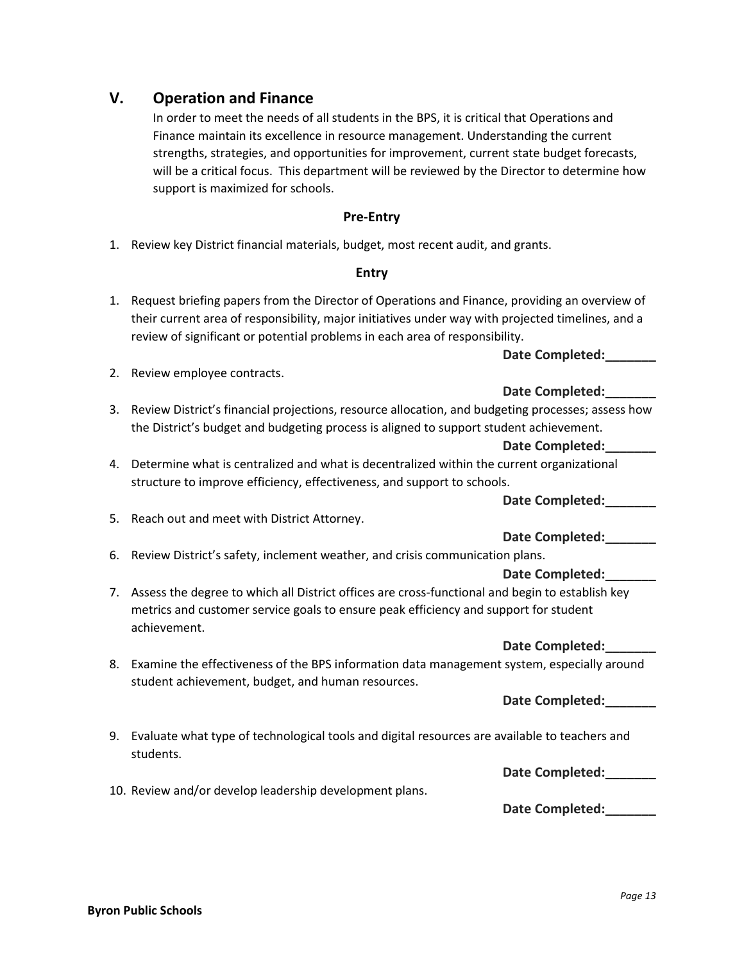#### **V. Operation and Finance**

2. Review employee contracts.

In order to meet the needs of all students in the BPS, it is critical that Operations and Finance maintain its excellence in resource management. Understanding the current strengths, strategies, and opportunities for improvement, current state budget forecasts, will be a critical focus. This department will be reviewed by the Director to determine how support is maximized for schools.

#### **Pre-Entry**

1. Review key District financial materials, budget, most recent audit, and grants.

#### **Entry**

1. Request briefing papers from the Director of Operations and Finance, providing an overview of their current area of responsibility, major initiatives under way with projected timelines, and a review of significant or potential problems in each area of responsibility.

#### **Date Completed:\_\_\_\_\_\_\_**

- **Date Completed:\_\_\_\_\_\_\_** 3. Review District's financial projections, resource allocation, and budgeting processes; assess how the District's budget and budgeting process is aligned to support student achievement.
	- **Date Completed:\_\_\_\_\_\_\_**
- 4. Determine what is centralized and what is decentralized within the current organizational structure to improve efficiency, effectiveness, and support to schools.

**Date Completed:\_\_\_\_\_\_\_**

5. Reach out and meet with District Attorney.

#### **Date Completed:\_\_\_\_\_\_\_**

6. Review District's safety, inclement weather, and crisis communication plans.

#### **Date Completed:\_\_\_\_\_\_\_**

7. Assess the degree to which all District offices are cross-functional and begin to establish key metrics and customer service goals to ensure peak efficiency and support for student achievement.

#### **Date Completed:\_\_\_\_\_\_\_**

8. Examine the effectiveness of the BPS information data management system, especially around student achievement, budget, and human resources.

**Date Completed:\_\_\_\_\_\_\_**

9. Evaluate what type of technological tools and digital resources are available to teachers and students.

**Date Completed:\_\_\_\_\_\_\_**

**Date Completed:\_\_\_\_\_\_\_**

10. Review and/or develop leadership development plans.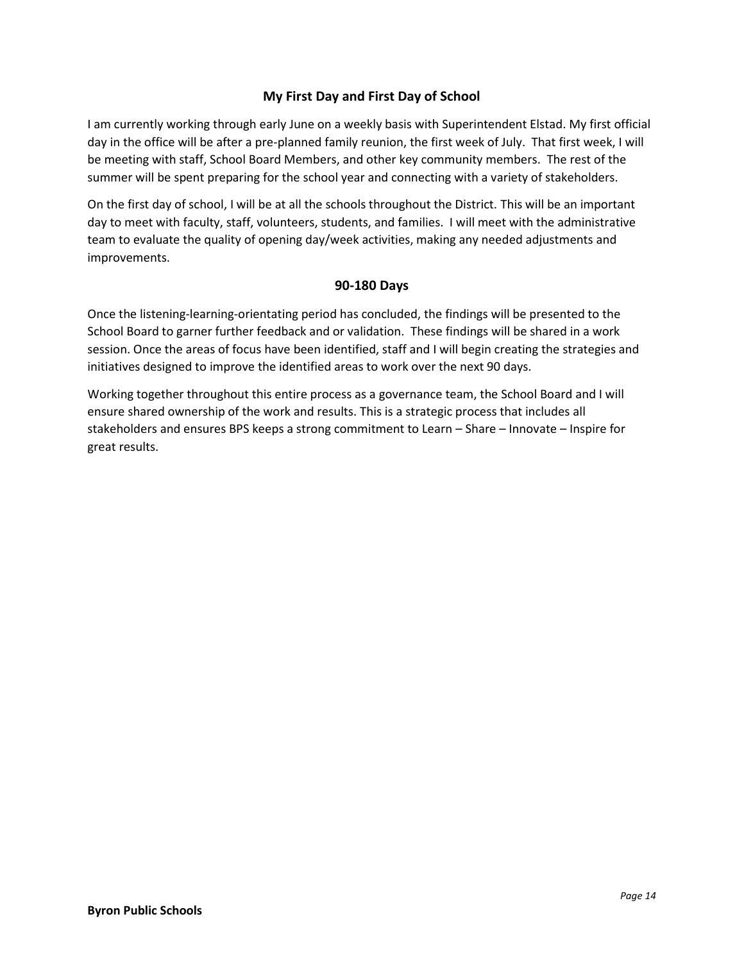#### **My First Day and First Day of School**

I am currently working through early June on a weekly basis with Superintendent Elstad. My first official day in the office will be after a pre-planned family reunion, the first week of July. That first week, I will be meeting with staff, School Board Members, and other key community members. The rest of the summer will be spent preparing for the school year and connecting with a variety of stakeholders.

On the first day of school, I will be at all the schools throughout the District. This will be an important day to meet with faculty, staff, volunteers, students, and families. I will meet with the administrative team to evaluate the quality of opening day/week activities, making any needed adjustments and improvements.

#### **90-180 Days**

Once the listening-learning-orientating period has concluded, the findings will be presented to the School Board to garner further feedback and or validation. These findings will be shared in a work session. Once the areas of focus have been identified, staff and I will begin creating the strategies and initiatives designed to improve the identified areas to work over the next 90 days.

Working together throughout this entire process as a governance team, the School Board and I will ensure shared ownership of the work and results. This is a strategic process that includes all stakeholders and ensures BPS keeps a strong commitment to Learn – Share – Innovate – Inspire for great results.